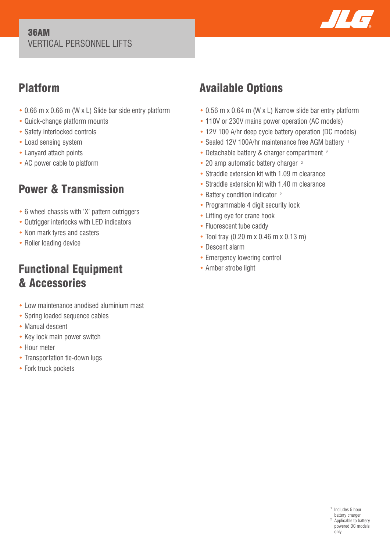#### 36AM VERTICAL PERSONNEL LIFTS



## Platform

- 0.66 m x 0.66 m (W x L) Slide bar side entry platform
- Quick-change platform mounts
- Safety interlocked controls
- Load sensing system
- Lanyard attach points
- AC power cable to platform

# Power & Transmission

- 6 wheel chassis with 'X' pattern outriggers
- Outrigger interlocks with LED indicators
- Non mark tyres and casters
- Roller loading device

## Functional Equipment & Accessories

- Low maintenance anodised aluminium mast
- Spring loaded sequence cables
- Manual descent
- Key lock main power switch
- Hour meter
- Transportation tie-down lugs
- Fork truck pockets

# Available Options

- 0.56 m x 0.64 m (W x L) Narrow slide bar entry platform
- 110V or 230V mains power operation (AC models)
- 12V 100 A/hr deep cycle battery operation (DC models)
- Sealed 12V 100A/hr maintenance free AGM battery 1
- Detachable battery & charger compartment <sup>2</sup>
- 20 amp automatic battery charger <sup>2</sup>
- Straddle extension kit with 1.09 m clearance
- Straddle extension kit with 1.40 m clearance
- Battery condition indicator <sup>2</sup>
- Programmable 4 digit security lock
- Lifting eye for crane hook
- Fluorescent tube caddy
- Tool tray (0.20 m x 0.46 m x 0.13 m)
- Descent alarm
- Emergency lowering control
- Amber strobe light

<sup>1</sup> Includes 5 hour battery charger <sup>2</sup> Applicable to battery powered DC models only